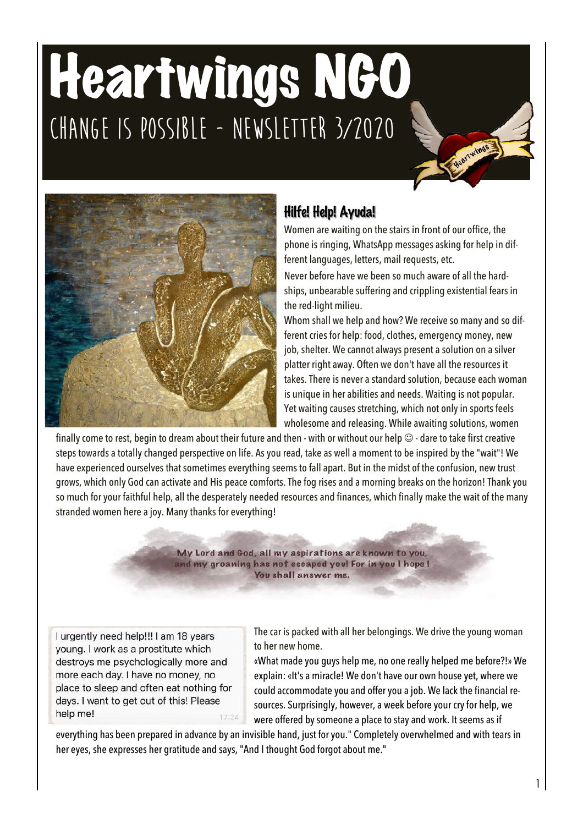# Heartwings NGO **Change is possible - Newsletter 3/2020**



# Hilfe! Help! Ayuda!

Women are waiting on the stairs in front of our office, the phone is ringing, WhatsApp messages asking for help in different languages, letters, mail requests, etc.

Never before have we been so much aware of all the hardships, unbearable suffering and crippling existential fears in the red-light milieu.

Whom shall we help and how? We receive so many and so different cries for help: food, clothes, emergency money, new job, shelter. We cannot always present a solution on a silver platter right away. Often we don't have all the resources it takes. There is never a standard solution, because each woman is unique in her abilities and needs. Waiting is not popular. Yet waiting causes stretching, which not only in sports feels wholesome and releasing. While awaiting solutions, women

finally come to rest, begin to dream about their future and then - with or without our help  $\odot$  - dare to take first creative steps towards a totally changed perspective on life. Asyou read, take as well a moment to be inspired by the "wait"! We have experienced ourselves that sometimes everything seems to fall apart. But in the midst of the confusion, new trust grows, which only God can activate and His peace comforts. The fog rises and a morning breaks on the horizon! Thank you so much for your faithful help, all the desperately needed resources and finances, which finally make the wait of the many stranded women here a joy. Many thanks for everything!

> My Lord and God, all my aspirations are known to you, and my groaning has not escaped you! For in you I hope ! You shall answer me.

I urgently need help!!! I am 18 years young. I work as a prostitute which destroys me psychologically more and more each day. I have no money, no place to sleep and often eat nothing for days. I want to get out of this! Please help me! 17:24 The car is packed with all her belongings. We drive the young woman to her new home.

«What made you guys help me, no one really helped me before?!» We explain: «It's a miracle! We don't have our own house yet, where we could accommodate you and offer you a job. We lack the financial resources. Surprisingly, however, a week before your cry for help, we were offered by someone a place to stay and work. It seems as if

everything has been prepared in advance by an invisible hand, just for you." Completely overwhelmed and with tears in her eyes, she expresses her gratitude and says, "And I thought God forgot about me."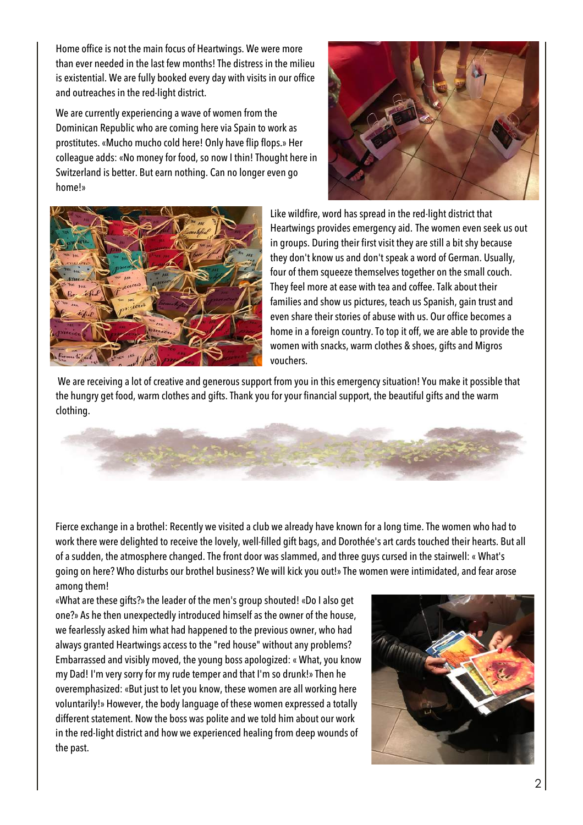Home office is not the main focus of Heartwings. We were more than ever needed in the last few months! The distress in the milieu is existential. We are fully booked every day with visits in our office and outreaches in the red-light district.

We are currently experiencing a wave of women from the Dominican Republic who are coming here via Spain to work as prostitutes. «Mucho mucho cold here! Only have flip flops.» Her colleague adds: «No money for food, so now I thin! Thought here in Switzerland is better. But earn nothing. Can no longer even go home!»





Like wildfire, word has spread in the red-light district that Heartwings provides emergency aid. The women even seek us out in groups. During their first visit they are still a bit shy because they don't know us and don't speak a word of German. Usually, four of them squeeze themselves together on the small couch. They feel more at ease with tea and coffee. Talk about their families and show us pictures, teach us Spanish, gain trust and even share their stories of abuse with us. Our office becomes a home in a foreign country. To top it off, we are able to provide the women with snacks, warm clothes & shoes, gifts and Migros vouchers.

We are receiving a lot of creative and generous support from you in this emergency situation! You make it possible that the hungry get food, warm clothes and gifts. Thank you for your financial support, the beautiful gifts and the warm clothing.



Fierce exchange in a brothel: Recently we visited a club we already have known for a long time. The women who had to work there were delighted to receive the lovely, well-filled gift bags, and Dorothée's art cards touched their hearts. But all of a sudden, the atmosphere changed. The front door was slammed, and three guys cursed in the stairwell: « What's going on here? Who disturbs our brothel business? We will kick you out!» The women were intimidated, and fear arose among them!

«What are these gifts?» the leader of the men's group shouted! «Do I also get one?» As he then unexpectedly introduced himself as the owner of the house, we fearlessly asked him what had happened to the previous owner, who had always granted Heartwings access to the "red house" without any problems? Embarrassed and visibly moved, the young boss apologized: « What, you know my Dad! I'm very sorry for my rude temper and that I'm so drunk!» Then he overemphasized: «But just to let you know, these women are all working here voluntarily!» However, the body language of these women expressed a totally different statement. Now the boss was polite and we told him about our work in the red-light district and how we experienced healing from deep wounds of the past.

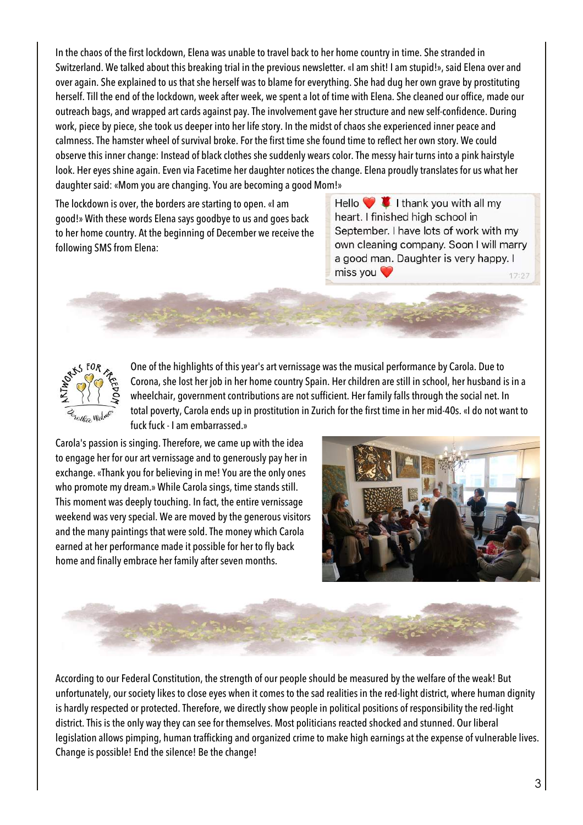In the chaos of the first lockdown, Elena was unable to travel back to her home country in time. She stranded in Switzerland. We talked about this breaking trial in the previous newsletter. «I am shit! I am stupid!», said Elena over and over again. She explained to us that she herself was to blame for everything. She had dug her own grave by prostituting herself. Till the end of the lockdown, week after week, we spent a lot of time with Elena. She cleaned our office, made our outreach bags, and wrapped art cards against pay. The involvement gave her structure and new self-confidence. During work, piece by piece, she took us deeper into her life story. In the midst of chaos she experienced inner peace and calmness. The hamster wheel of survival broke. For the first time she found time to reflect her own story. We could observe this inner change: Instead of black clothes she suddenly wears color. The messy hair turns into a pink hairstyle look. Her eyes shine again. Even via Facetime her daughter notices the change. Elena proudly translates for us what her daughter said: «Mom you are changing. You are becoming a good Mom!»

The lockdown is over, the borders are starting to open. «I am good!» With these words Elena says goodbye to us and goes back to her home country. At the beginning of December we receive the following SMS from Elena:

Hello  $\bullet$  **I** I thank you with all my heart. I finished high school in September. I have lots of work with my own cleaning company. Soon I will marry a good man. Daughter is very happy. I miss you  $17:27$ 



One of the highlights of this year's art vernissage was the musical performance by Carola. Due to Corona, she lost her job in her home country Spain. Her children are still in school, her husband is in a wheelchair, government contributions are not sufficient. Her family falls through the social net. In total poverty, Carola ends up in prostitution in Zurich for the first time in her mid-40s. «I do not want to fuck fuck - I am embarrassed.»

Carola's passion is singing. Therefore, we came up with the idea to engage her for our artvernissage and to generously pay her in exchange. «Thank you for believing in me! You are the only ones who promote my dream.» While Carola sings, time stands still. This moment was deeply touching. In fact, the entire vernissage weekend was very special. We are moved by the generous visitors and the many paintings that were sold. The money which Carola earned at her performance made it possible for her to fly back home and finally embrace her family after seven months.





According to our Federal Constitution, the strength of our people should be measured by the welfare of the weak! But unfortunately, our society likes to close eyes when it comes to the sad realities in the red-light district, where human dignity is hardly respected or protected. Therefore, we directly show people in political positions of responsibility the red-light district. This is the only way they can see for themselves. Most politicians reacted shocked and stunned. Our liberal legislation allows pimping, human trafficking and organized crime to make high earnings at the expense of vulnerable lives. Change is possible! End the silence! Be the change!